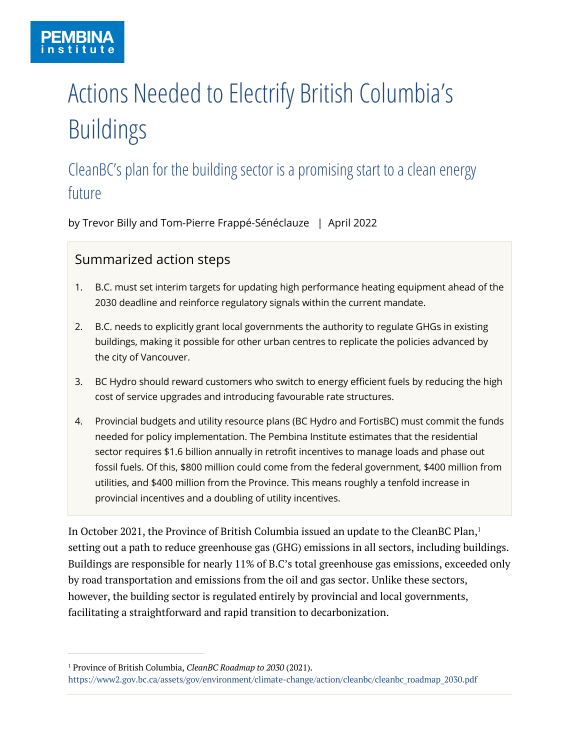# Actions Needed to Electrify British Columbia's Buildings

## CleanBC's plan for the building sector is a promising start to a clean energy future

by Trevor Billy and Tom-Pierre Frappé-Sénéclauze | April 2022

#### Summarized action steps

- 1. B.C. must set interim targets for updating high performance heating equipment ahead of the 2030 deadline and reinforce regulatory signals within the current mandate.
- 2. B.C. needs to explicitly grant local governments the authority to regulate GHGs in existing buildings, making it possible for other urban centres to replicate the policies advanced by the city of Vancouver.
- 3. BC Hydro should reward customers who switch to energy efficient fuels by reducing the high cost of service upgrades and introducing favourable rate structures.
- 4. Provincial budgets and utility resource plans (BC Hydro and FortisBC) must commit the funds needed for policy implementation. The Pembina Institute estimates that the residential sector requires \$1.6 billion annually in retrofit incentives to manage loads and phase out fossil fuels. Of this, \$800 million could come from the federal government, \$400 million from utilities, and \$400 million from the Province. This means roughly a tenfold increase in provincial incentives and a doubling of utility incentives.

In October 2021, the Province of British Columbia issued an update to the CleanBC Plan, 1 setting out a path to reduce greenhouse gas (GHG) emissions in all sectors, including buildings. Buildings are responsible for nearly 11% of B.C's total greenhouse gas emissions, exceeded only by road transportation and emissions from the oil and gas sector. Unlike these sectors, however, the building sector is regulated entirely by provincial and local governments, facilitating a straightforward and rapid transition to decarbonization.

<sup>1</sup> Province of British Columbia, *CleanBC Roadmap to 2030* (2021).

https://www2.gov.bc.ca/assets/gov/environment/climate-change/action/cleanbc/cleanbc\_roadmap\_2030.pdf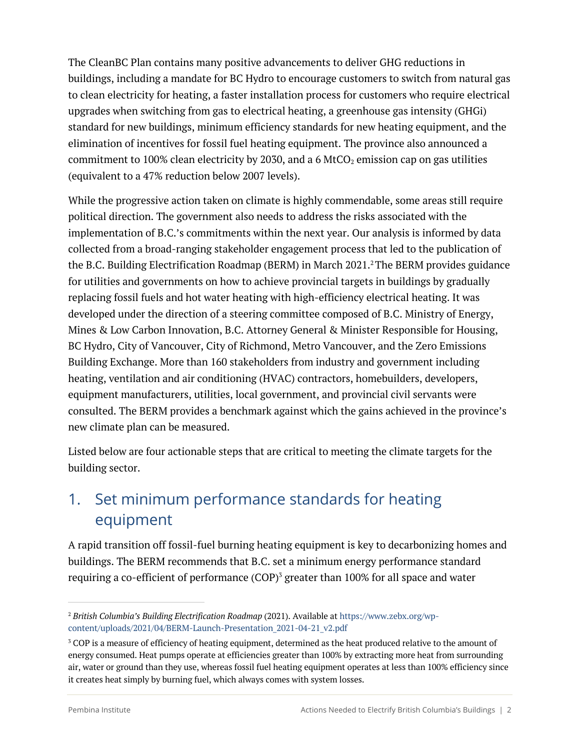The CleanBC Plan contains many positive advancements to deliver GHG reductions in buildings, including a mandate for BC Hydro to encourage customers to switch from natural gas to clean electricity for heating, a faster installation process for customers who require electrical upgrades when switching from gas to electrical heating, a greenhouse gas intensity (GHGi) standard for new buildings, minimum efficiency standards for new heating equipment, and the elimination of incentives for fossil fuel heating equipment. The province also announced a commitment to 100% clean electricity by 2030, and a 6 MtCO<sub>2</sub> emission cap on gas utilities (equivalent to a 47% reduction below 2007 levels).

While the progressive action taken on climate is highly commendable, some areas still require political direction. The government also needs to address the risks associated with the implementation of B.C.'s commitments within the next year. Our analysis is informed by data collected from a broad-ranging stakeholder engagement process that led to the publication of the B.C. Building Electrification Roadmap (BERM) in March 2021.<sup>2</sup>The BERM provides guidance for utilities and governments on how to achieve provincial targets in buildings by gradually replacing fossil fuels and hot water heating with high-efficiency electrical heating. It was developed under the direction of a steering committee composed of B.C. Ministry of Energy, Mines & Low Carbon Innovation, B.C. Attorney General & Minister Responsible for Housing, BC Hydro, City of Vancouver, City of Richmond, Metro Vancouver, and the Zero Emissions Building Exchange. More than 160 stakeholders from industry and government including heating, ventilation and air conditioning (HVAC) contractors, homebuilders, developers, equipment manufacturers, utilities, local government, and provincial civil servants were consulted. The BERM provides a benchmark against which the gains achieved in the province's new climate plan can be measured.

Listed below are four actionable steps that are critical to meeting the climate targets for the building sector.

#### 1. Set minimum performance standards for heating equipment

A rapid transition off fossil-fuel burning heating equipment is key to decarbonizing homes and buildings. The BERM recommends that B.C. set a minimum energy performance standard requiring a co-efficient of performance  $(COP)^3$  greater than 100% for all space and water

<sup>2</sup> *British Columbia's Building Electrification Roadmap* (2021). Available at https://www.zebx.org/wpcontent/uploads/2021/04/BERM-Launch-Presentation\_2021-04-21\_v2.pdf

<sup>&</sup>lt;sup>3</sup> COP is a measure of efficiency of heating equipment, determined as the heat produced relative to the amount of energy consumed. Heat pumps operate at efficiencies greater than 100% by extracting more heat from surrounding air, water or ground than they use, whereas fossil fuel heating equipment operates at less than 100% efficiency since it creates heat simply by burning fuel, which always comes with system losses.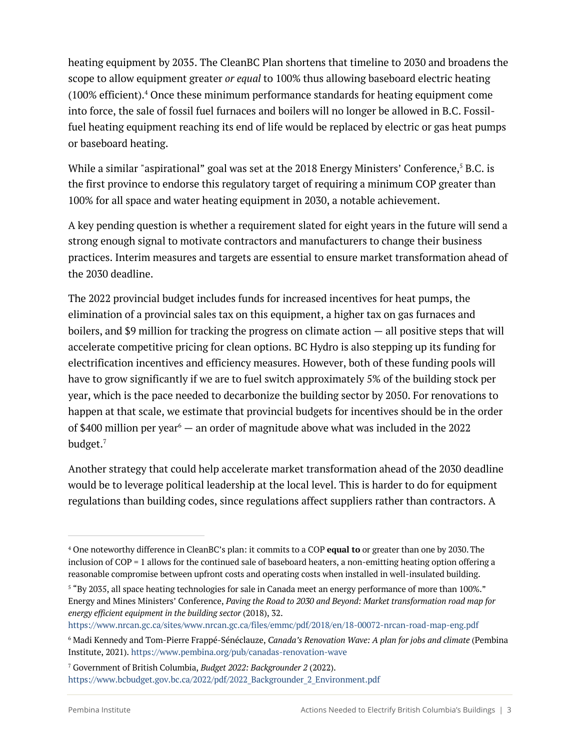heating equipment by 2035. The CleanBC Plan shortens that timeline to 2030 and broadens the scope to allow equipment greater *or equal* to 100% thus allowing baseboard electric heating (100% efficient).4 Once these minimum performance standards for heating equipment come into force, the sale of fossil fuel furnaces and boilers will no longer be allowed in B.C. Fossilfuel heating equipment reaching its end of life would be replaced by electric or gas heat pumps or baseboard heating.

While a similar "aspirational" goal was set at the 2018 Energy Ministers' Conference, <sup>5</sup> B.C. is the first province to endorse this regulatory target of requiring a minimum COP greater than 100% for all space and water heating equipment in 2030, a notable achievement.

A key pending question is whether a requirement slated for eight years in the future will send a strong enough signal to motivate contractors and manufacturers to change their business practices. Interim measures and targets are essential to ensure market transformation ahead of the 2030 deadline.

The 2022 provincial budget includes funds for increased incentives for heat pumps, the elimination of a provincial sales tax on this equipment, a higher tax on gas furnaces and boilers, and \$9 million for tracking the progress on climate action — all positive steps that will accelerate competitive pricing for clean options. BC Hydro is also stepping up its funding for electrification incentives and efficiency measures. However, both of these funding pools will have to grow significantly if we are to fuel switch approximately 5% of the building stock per year, which is the pace needed to decarbonize the building sector by 2050. For renovations to happen at that scale, we estimate that provincial budgets for incentives should be in the order of \$400 million per year<sup>6</sup> — an order of magnitude above what was included in the 2022 budget.7

Another strategy that could help accelerate market transformation ahead of the 2030 deadline would be to leverage political leadership at the local level. This is harder to do for equipment regulations than building codes, since regulations affect suppliers rather than contractors. A

<sup>4</sup> One noteworthy difference in CleanBC's plan: it commits to a COP **equal to** or greater than one by 2030.The inclusion of COP = 1 allows for the continued sale of baseboard heaters, a non-emitting heating option offering a reasonable compromise between upfront costs and operating costs when installed in well-insulated building.

<sup>&</sup>lt;sup>5</sup> "By 2035, all space heating technologies for sale in Canada meet an energy performance of more than 100%." Energy and Mines Ministers' Conference, *Paving the Road to 2030 and Beyond: Market transformation road map for energy efficient equipment in the building sector* (2018), 32.

https://www.nrcan.gc.ca/sites/www.nrcan.gc.ca/files/emmc/pdf/2018/en/18-00072-nrcan-road-map-eng.pdf

<sup>6</sup> Madi Kennedy and Tom-Pierre Frappé-Sénéclauze, *Canada's Renovation Wave: A plan for jobs and climate* (Pembina Institute, 2021). https://www.pembina.org/pub/canadas-renovation-wave

<sup>7</sup> Government of British Columbia, *Budget 2022: Backgrounder 2* (2022). https://www.bcbudget.gov.bc.ca/2022/pdf/2022\_Backgrounder\_2\_Environment.pdf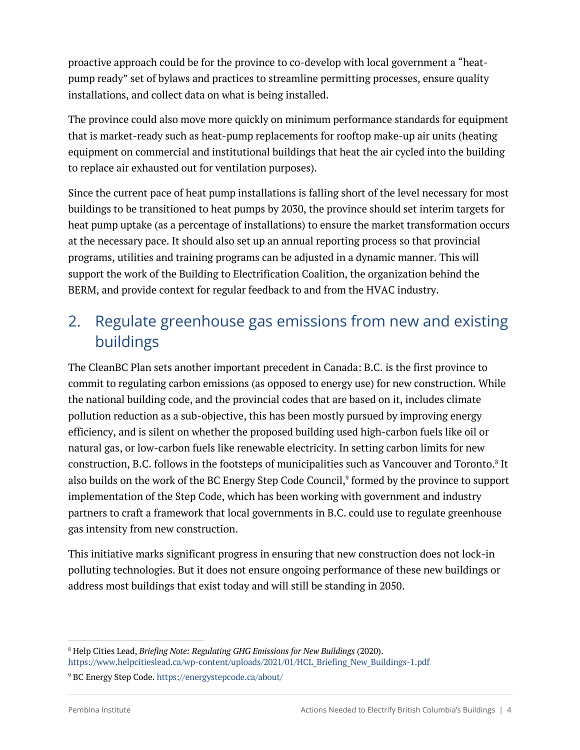proactive approach could be for the province to co-develop with local government a "heatpump ready" set of bylaws and practices to streamline permitting processes, ensure quality installations, and collect data on what is being installed.

The province could also move more quickly on minimum performance standards for equipment that is market-ready such as heat-pump replacements for rooftop make-up air units (heating equipment on commercial and institutional buildings that heat the air cycled into the building to replace air exhausted out for ventilation purposes).

Since the current pace of heat pump installations is falling short of the level necessary for most buildings to be transitioned to heat pumps by 2030, the province should set interim targets for heat pump uptake (as a percentage of installations) to ensure the market transformation occurs at the necessary pace. It should also set up an annual reporting process so that provincial programs, utilities and training programs can be adjusted in a dynamic manner. This will support the work of the Building to Electrification Coalition, the organization behind the BERM, and provide context for regular feedback to and from the HVAC industry.

### 2. Regulate greenhouse gas emissions from new and existing buildings

The CleanBC Plan sets another important precedent in Canada: B.C. is the first province to commit to regulating carbon emissions (as opposed to energy use) for new construction. While the national building code, and the provincial codes that are based on it, includes climate pollution reduction as a sub-objective, this has been mostly pursued by improving energy efficiency, and is silent on whether the proposed building used high-carbon fuels like oil or natural gas, or low-carbon fuels like renewable electricity. In setting carbon limits for new construction, B.C. follows in the footsteps of municipalities such as Vancouver and Toronto. <sup>8</sup> It also builds on the work of the BC Energy Step Code Council, <sup>9</sup> formed by the province to support implementation of the Step Code, which has been working with government and industry partners to craft a framework that local governments in B.C. could use to regulate greenhouse gas intensity from new construction.

This initiative marks significant progress in ensuring that new construction does not lock-in polluting technologies. But it does not ensure ongoing performance of these new buildings or address most buildings that exist today and will still be standing in 2050.

<sup>8</sup> Help Cities Lead, *Briefing Note: Regulating GHG Emissions for New Buildings* (2020). https://www.helpcitieslead.ca/wp-content/uploads/2021/01/HCL\_Briefing\_New\_Buildings-1.pdf

<sup>9</sup> BC Energy Step Code. https://energystepcode.ca/about/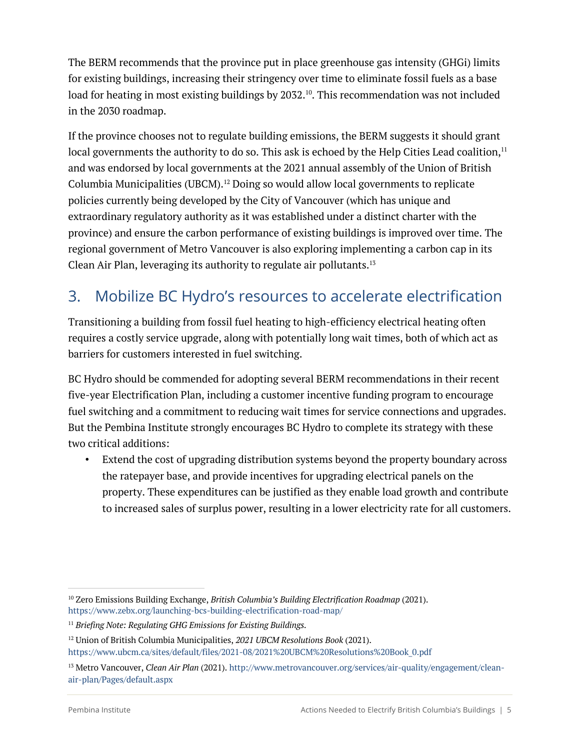The BERM recommends that the province put in place greenhouse gas intensity (GHGi) limits for existing buildings, increasing their stringency over time to eliminate fossil fuels as a base load for heating in most existing buildings by 2032. 10. This recommendation was not included in the 2030 roadmap.

If the province chooses not to regulate building emissions, the BERM suggests it should grant local governments the authority to do so. This ask is echoed by the Help Cities Lead coalition,<sup>11</sup> and was endorsed by local governments at the 2021 annual assembly of the Union of British Columbia Municipalities (UBCM).12 Doing so would allow local governments to replicate policies currently being developed by the City of Vancouver (which has unique and extraordinary regulatory authority as it was established under a distinct charter with the province) and ensure the carbon performance of existing buildings is improved over time. The regional government of Metro Vancouver is also exploring implementing a carbon cap in its Clean Air Plan, leveraging its authority to regulate air pollutants.13

### 3. Mobilize BC Hydro's resources to accelerate electrification

Transitioning a building from fossil fuel heating to high-efficiency electrical heating often requires a costly service upgrade, along with potentially long wait times, both of which act as barriers for customers interested in fuel switching.

BC Hydro should be commended for adopting several BERM recommendations in their recent five-year Electrification Plan, including a customer incentive funding program to encourage fuel switching and a commitment to reducing wait times for service connections and upgrades. But the Pembina Institute strongly encourages BC Hydro to complete its strategy with these two critical additions:

• Extend the cost of upgrading distribution systems beyond the property boundary across the ratepayer base, and provide incentives for upgrading electrical panels on the property. These expenditures can be justified as they enable load growth and contribute to increased sales of surplus power, resulting in a lower electricity rate for all customers.

<sup>10</sup> Zero Emissions Building Exchange, *British Columbia's Building Electrification Roadmap* (2021). https://www.zebx.org/launching-bcs-building-electrification-road-map/

<sup>11</sup> *Briefing Note: Regulating GHG Emissions for Existing Buildings.*

<sup>12</sup> Union of British Columbia Municipalities, *2021 UBCM Resolutions Book* (2021). https://www.ubcm.ca/sites/default/files/2021-08/2021%20UBCM%20Resolutions%20Book\_0.pdf

<sup>13</sup> Metro Vancouver, *Clean Air Plan* (2021). http://www.metrovancouver.org/services/air-quality/engagement/cleanair-plan/Pages/default.aspx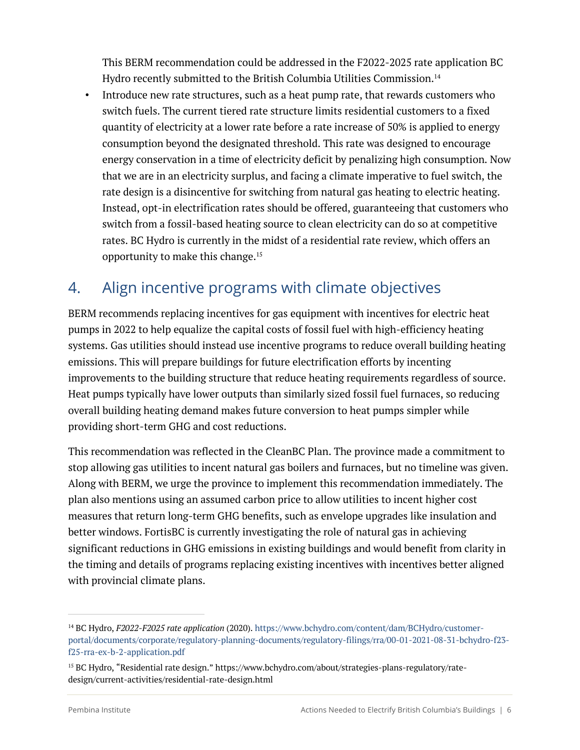This BERM recommendation could be addressed in the F2022-2025 rate application BC Hydro recently submitted to the British Columbia Utilities Commission.<sup>14</sup>

• Introduce new rate structures, such as a heat pump rate, that rewards customers who switch fuels. The current tiered rate structure limits residential customers to a fixed quantity of electricity at a lower rate before a rate increase of 50% is applied to energy consumption beyond the designated threshold. This rate was designed to encourage energy conservation in a time of electricity deficit by penalizing high consumption. Now that we are in an electricity surplus, and facing a climate imperative to fuel switch, the rate design is a disincentive for switching from natural gas heating to electric heating. Instead, opt-in electrification rates should be offered, guaranteeing that customers who switch from a fossil-based heating source to clean electricity can do so at competitive rates. BC Hydro is currently in the midst of a residential rate review, which offers an opportunity to make this change.15

#### 4. Align incentive programs with climate objectives

BERM recommends replacing incentives for gas equipment with incentives for electric heat pumps in 2022 to help equalize the capital costs of fossil fuel with high-efficiency heating systems. Gas utilities should instead use incentive programs to reduce overall building heating emissions. This will prepare buildings for future electrification efforts by incenting improvements to the building structure that reduce heating requirements regardless of source. Heat pumps typically have lower outputs than similarly sized fossil fuel furnaces, so reducing overall building heating demand makes future conversion to heat pumps simpler while providing short-term GHG and cost reductions.

This recommendation was reflected in the CleanBC Plan. The province made a commitment to stop allowing gas utilities to incent natural gas boilers and furnaces, but no timeline was given. Along with BERM, we urge the province to implement this recommendation immediately. The plan also mentions using an assumed carbon price to allow utilities to incent higher cost measures that return long-term GHG benefits, such as envelope upgrades like insulation and better windows. FortisBC is currently investigating the role of natural gas in achieving significant reductions in GHG emissions in existing buildings and would benefit from clarity in the timing and details of programs replacing existing incentives with incentives better aligned with provincial climate plans.

<sup>14</sup> BC Hydro, *F2022-F2025 rate application* (2020). https://www.bchydro.com/content/dam/BCHydro/customerportal/documents/corporate/regulatory-planning-documents/regulatory-filings/rra/00-01-2021-08-31-bchydro-f23 f25-rra-ex-b-2-application.pdf

<sup>15</sup> BC Hydro, "Residential rate design." https://www.bchydro.com/about/strategies-plans-regulatory/ratedesign/current-activities/residential-rate-design.html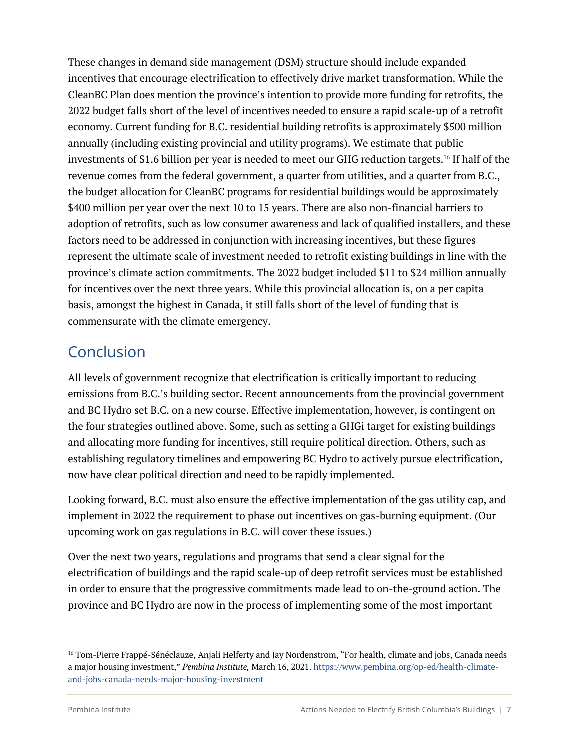These changes in demand side management (DSM) structure should include expanded incentives that encourage electrification to effectively drive market transformation. While the CleanBC Plan does mention the province's intention to provide more funding for retrofits, the 2022 budget falls short of the level of incentives needed to ensure a rapid scale-up of a retrofit economy. Current funding for B.C. residential building retrofits is approximately \$500 million annually (including existing provincial and utility programs). We estimate that public investments of \$1.6 billion per year is needed to meet our GHG reduction targets.16 If half of the revenue comes from the federal government, a quarter from utilities, and a quarter from B.C., the budget allocation for CleanBC programs for residential buildings would be approximately \$400 million per year over the next 10 to 15 years. There are also non-financial barriers to adoption of retrofits, such as low consumer awareness and lack of qualified installers, and these factors need to be addressed in conjunction with increasing incentives, but these figures represent the ultimate scale of investment needed to retrofit existing buildings in line with the province's climate action commitments. The 2022 budget included \$11 to \$24 million annually for incentives over the next three years. While this provincial allocation is, on a per capita basis, amongst the highest in Canada, it still falls short of the level of funding that is commensurate with the climate emergency.

#### Conclusion

All levels of government recognize that electrification is critically important to reducing emissions from B.C.'s building sector. Recent announcements from the provincial government and BC Hydro set B.C. on a new course. Effective implementation, however, is contingent on the four strategies outlined above. Some, such as setting a GHGi target for existing buildings and allocating more funding for incentives, still require political direction. Others, such as establishing regulatory timelines and empowering BC Hydro to actively pursue electrification, now have clear political direction and need to be rapidly implemented.

Looking forward, B.C. must also ensure the effective implementation of the gas utility cap, and implement in 2022 the requirement to phase out incentives on gas-burning equipment. (Our upcoming work on gas regulations in B.C. will cover these issues.)

Over the next two years, regulations and programs that send a clear signal for the electrification of buildings and the rapid scale-up of deep retrofit services must be established in order to ensure that the progressive commitments made lead to on-the-ground action. The province and BC Hydro are now in the process of implementing some of the most important

<sup>&</sup>lt;sup>16</sup> Tom-Pierre Frappé-Sénéclauze, Anjali Helferty and Jay Nordenstrom, "For health, climate and jobs, Canada needs a major housing investment," *Pembina Institute,* March 16, 2021. https://www.pembina.org/op-ed/health-climateand-jobs-canada-needs-major-housing-investment